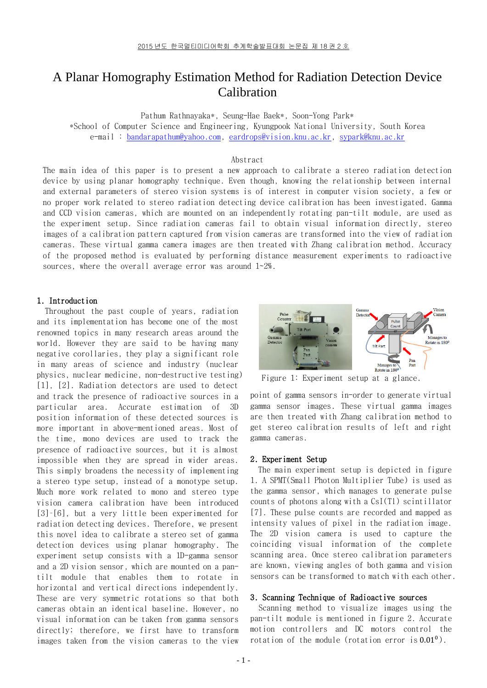# A Planar Homography Estimation Method for Radiation Detection Device Calibration

Pathum Rathnayaka\*, Seung-Hae Baek\*, Soon-Yong Park\* \*School of Computer Science and Engineering, Kyungpook National University, South Korea e-mail : [bandarapathum@yahoo.com,](mailto:bandarapathum@yahoo.com) [eardrops@vision.knu.ac.kr,](mailto:eardrops@vision.knu.ac.kr) [sypark@knu.ac.kr](mailto:sypark@knu.ac.kr)

Abstract

The main idea of this paper is to present a new approach to calibrate a stereo radiation detection device by using planar homography technique. Even though, knowing the relationship between internal and external parameters of stereo vision systems is of interest in computer vision society, a few or no proper work related to stereo radiation detecting device calibration has been investigated. Gamma and CCD vision cameras, which are mounted on an independently rotating pan-tilt module, are used as the experiment setup. Since radiation cameras fail to obtain visual information directly, stereo images of a calibration pattern captured from vision cameras are transformed into the view of radiation cameras. These virtual gamma camera images are then treated with Zhang calibration method. Accuracy of the proposed method is evaluated by performing distance measurement experiments to radioactive sources, where the overall average error was around 1~2%.

## 1. Introduction

Throughout the past couple of years, radiation and its implementation has become one of the most renowned topics in many research areas around the world. However they are said to be having many negative corollaries, they play a significant role in many areas of science and industry (nuclear physics, nuclear medicine, non-destructive testing) [1], [2]. Radiation detectors are used to detect and track the presence of radioactive sources in a particular area. Accurate estimation of 3D position information of these detected sources is more important in above-mentioned areas. Most of the time, mono devices are used to track the presence of radioactive sources, but it is almost impossible when they are spread in wider areas. This simply broadens the necessity of implementing a stereo type setup, instead of a monotype setup. Much more work related to mono and stereo type vision camera calibration have been introduced [3]–[6], but a very little been experimented for radiation detecting devices. Therefore, we present this novel idea to calibrate a stereo set of gamma detection devices using planar homography. The experiment setup consists with a 1D-gamma sensor and a 2D vision sensor, which are mounted on a pantilt module that enables them to rotate in horizontal and vertical directions independently. These are very symmetric rotations so that both cameras obtain an identical baseline. However, no visual information can be taken from gamma sensors directly; therefore, we first have to transform images taken from the vision cameras to the view



Figure 1: Experiment setup at a glance.

point of gamma sensors in-order to generate virtual gamma sensor images. These virtual gamma images are then treated with Zhang calibration method to get stereo calibration results of left and right gamma cameras.

#### 2. Experiment Setup

The main experiment setup is depicted in figure 1. A SPMT(Small Photon Multiplier Tube) is used as the gamma sensor, which manages to generate pulse counts of photons along with a CsI(Tl) scintillator [7]. These pulse counts are recorded and mapped as intensity values of pixel in the radiation image. The 2D vision camera is used to capture the coinciding visual information of the complete scanning area. Once stereo calibration parameters are known, viewing angles of both gamma and vision sensors can be transformed to match with each other.

#### 3. Scanning Technique of Radioactive sources

Scanning method to visualize images using the pan-tilt module is mentioned in figure 2. Accurate motion controllers and DC motors control the rotation of the module (rotation error is 0.01<sup>0</sup>).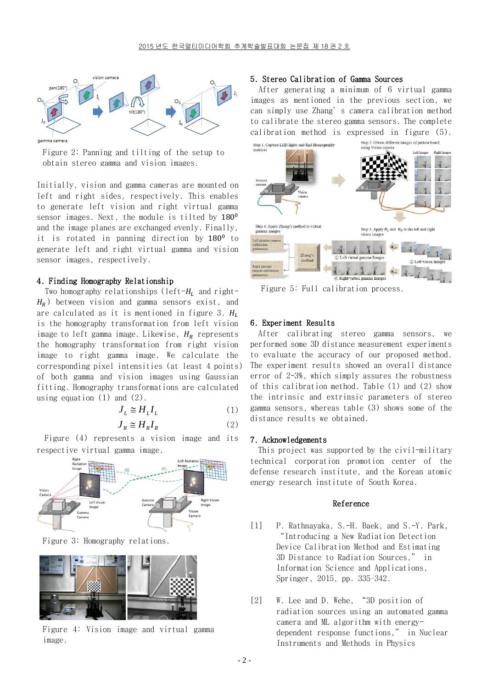

Figure 2: Panning and tilting of the setup to obtain stereo gamma and vision images.

Initially, vision and gamma cameras are mounted on left and right sides, respectively. This enables to generate left vision and right virtual gamma sensor images. Next, the module is tilted by  $180^0$ and the image planes are exchanged evenly. Finally, it is rotated in panning direction by  $180^0$  to generate left and right virtual gamma and vision sensor images, respectively.

#### 4. Finding Homography Relationship

Two homography relationships (left- $H_L$  and right- $H_R$ ) between vision and gamma sensors exist, and are calculated as it is mentioned in figure 3.  $H_L$ is the homography transformation from left vision image to left gamma image. Likewise,  $H_R$  represents the homography transformation from right vision image to right gamma image. We calculate the corresponding pixel intensities (at least 4 points) of both gamma and vision images using Gaussian fitting. Homography transformations are calculated using equation (1) and (2).

$$
J_L \cong H_L I_L \tag{1}
$$

$$
J_R \cong H_R I_R \tag{2}
$$

Figure (4) represents a vision image and its respective virtual gamma image.



Figure 3: Homography relations.



Figure 4: Vision image and virtual gamma image.

# 5. Stereo Calibration of Gamma Sources

 After generating a minimum of 6 virtual gamma images as mentioned in the previous section, we can simply use Zhang's camera calibration method to calibrate the stereo gamma sensors. The complete calibration method is expressed in figure (5).



Figure 5: Full calibration process.

## 6. Experiment Results

After calibrating stereo gamma sensors, we performed some 3D distance measurement experiments to evaluate the accuracy of our proposed method. The experiment results showed an overall distance error of 2~3%, which simply assures the robustness of this calibration method. Table (1) and (2) show the intrinsic and extrinsic parameters of stereo gamma sensors, whereas table (3) shows some of the distance results we obtained.

#### 7. Acknowledgements

This project was supported by the civil-military technical corporation promotion center of the defense research institute, and the Korean atomic energy research institute of South Korea.

#### Reference

- [1] P. Rathnayaka, S.-H. Baek, and S.-Y. Park, "Introducing a New Radiation Detection Device Calibration Method and Estimating 3D Distance to Radiation Sources," in Information Science and Applications, Springer, 2015, pp. 335–342.
- [2] W. Lee and D. Wehe, "3D position of radiation sources using an automated gamma camera and ML algorithm with energydependent response functions," in Nuclear Instruments and Methods in Physics